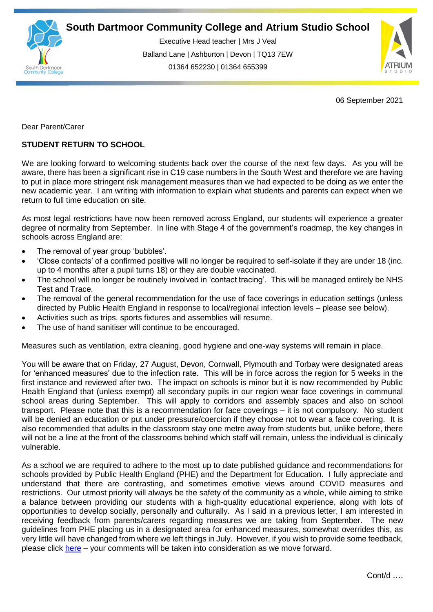

Executive Head teacher | Mrs J Veal Balland Lane | Ashburton | Devon | TQ13 7EW 01364 652230 | 01364 655399



06 September 2021

Dear Parent/Carer

## **STUDENT RETURN TO SCHOOL**

We are looking forward to welcoming students back over the course of the next few days. As you will be aware, there has been a significant rise in C19 case numbers in the South West and therefore we are having to put in place more stringent risk management measures than we had expected to be doing as we enter the new academic year. I am writing with information to explain what students and parents can expect when we return to full time education on site.

As most legal restrictions have now been removed across England, our students will experience a greater degree of normality from September. In line with Stage 4 of the government's roadmap, the key changes in schools across England are:

- The removal of year group 'bubbles'.
- 'Close contacts' of a confirmed positive will no longer be required to self-isolate if they are under 18 (inc. up to 4 months after a pupil turns 18) or they are double vaccinated.
- The school will no longer be routinely involved in 'contact tracing'. This will be managed entirely be NHS Test and Trace.
- The removal of the general recommendation for the use of face coverings in education settings (unless directed by Public Health England in response to local/regional infection levels – please see below).
- Activities such as trips, sports fixtures and assemblies will resume.
- The use of hand sanitiser will continue to be encouraged.

Measures such as ventilation, extra cleaning, good hygiene and one-way systems will remain in place.

You will be aware that on Friday, 27 August, Devon, Cornwall, Plymouth and Torbay were designated areas for 'enhanced measures' due to the infection rate. This will be in force across the region for 5 weeks in the first instance and reviewed after two. The impact on schools is minor but it is now recommended by Public Health England that (unless exempt) all secondary pupils in our region wear face coverings in communal school areas during September. This will apply to corridors and assembly spaces and also on school transport. Please note that this is a recommendation for face coverings – it is not compulsory. No student will be denied an education or put under pressure/coercion if they choose not to wear a face covering. It is also recommended that adults in the classroom stay one metre away from students but, unlike before, there will not be a line at the front of the classrooms behind which staff will remain, unless the individual is clinically vulnerable.

As a school we are required to adhere to the most up to date published guidance and recommendations for schools provided by Public Health England (PHE) and the Department for Education. I fully appreciate and understand that there are contrasting, and sometimes emotive views around COVID measures and restrictions. Our utmost priority will always be the safety of the community as a whole, while aiming to strike a balance between providing our students with a high-quality educational experience, along with lots of opportunities to develop socially, personally and culturally. As I said in a previous letter, I am interested in receiving feedback from parents/carers regarding measures we are taking from September. The new guidelines from PHE placing us in a designated area for enhanced measures, somewhat overrides this, as very little will have changed from where we left things in July. However, if you wish to provide some feedback, please click [here](https://forms.office.com/r/eKYbHJbRmK) – your comments will be taken into consideration as we move forward.